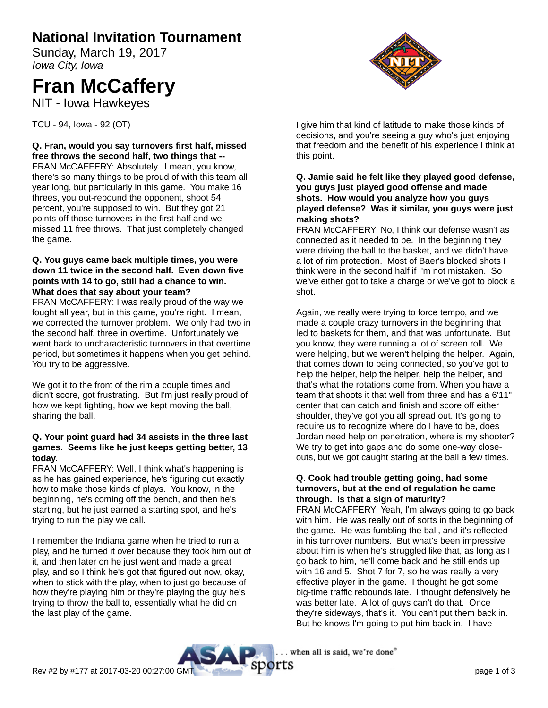# **National Invitation Tournament**

Sunday, March 19, 2017 Iowa City, Iowa

# **Fran McCaffery**

NIT - Iowa Hawkeyes

TCU - 94, Iowa - 92 (OT)

**Q. Fran, would you say turnovers first half, missed free throws the second half, two things that --** FRAN McCAFFERY: Absolutely. I mean, you know, there's so many things to be proud of with this team all year long, but particularly in this game. You make 16 threes, you out-rebound the opponent, shoot 54 percent, you're supposed to win. But they got 21 points off those turnovers in the first half and we missed 11 free throws. That just completely changed the game.

# **Q. You guys came back multiple times, you were down 11 twice in the second half. Even down five points with 14 to go, still had a chance to win. What does that say about your team?**

FRAN McCAFFERY: I was really proud of the way we fought all year, but in this game, you're right. I mean, we corrected the turnover problem. We only had two in the second half, three in overtime. Unfortunately we went back to uncharacteristic turnovers in that overtime period, but sometimes it happens when you get behind. You try to be aggressive.

We got it to the front of the rim a couple times and didn't score, got frustrating. But I'm just really proud of how we kept fighting, how we kept moving the ball, sharing the ball.

# **Q. Your point guard had 34 assists in the three last games. Seems like he just keeps getting better, 13 today.**

FRAN McCAFFERY: Well, I think what's happening is as he has gained experience, he's figuring out exactly how to make those kinds of plays. You know, in the beginning, he's coming off the bench, and then he's starting, but he just earned a starting spot, and he's trying to run the play we call.

I remember the Indiana game when he tried to run a play, and he turned it over because they took him out of it, and then later on he just went and made a great play, and so I think he's got that figured out now, okay, when to stick with the play, when to just go because of how they're playing him or they're playing the guy he's trying to throw the ball to, essentially what he did on the last play of the game.



I give him that kind of latitude to make those kinds of decisions, and you're seeing a guy who's just enjoying that freedom and the benefit of his experience I think at this point.

## **Q. Jamie said he felt like they played good defense, you guys just played good offense and made shots. How would you analyze how you guys played defense? Was it similar, you guys were just making shots?**

FRAN McCAFFERY: No, I think our defense wasn't as connected as it needed to be. In the beginning they were driving the ball to the basket, and we didn't have a lot of rim protection. Most of Baer's blocked shots I think were in the second half if I'm not mistaken. So we've either got to take a charge or we've got to block a shot.

Again, we really were trying to force tempo, and we made a couple crazy turnovers in the beginning that led to baskets for them, and that was unfortunate. But you know, they were running a lot of screen roll. We were helping, but we weren't helping the helper. Again, that comes down to being connected, so you've got to help the helper, help the helper, help the helper, and that's what the rotations come from. When you have a team that shoots it that well from three and has a 6'11" center that can catch and finish and score off either shoulder, they've got you all spread out. It's going to require us to recognize where do I have to be, does Jordan need help on penetration, where is my shooter? We try to get into gaps and do some one-way closeouts, but we got caught staring at the ball a few times.

### **Q. Cook had trouble getting going, had some turnovers, but at the end of regulation he came through. Is that a sign of maturity?**

FRAN McCAFFERY: Yeah, I'm always going to go back with him. He was really out of sorts in the beginning of the game. He was fumbling the ball, and it's reflected in his turnover numbers. But what's been impressive about him is when he's struggled like that, as long as I go back to him, he'll come back and he still ends up with 16 and 5. Shot 7 for 7, so he was really a very effective player in the game. I thought he got some big-time traffic rebounds late. I thought defensively he was better late. A lot of guys can't do that. Once they're sideways, that's it. You can't put them back in. But he knows I'm going to put him back in. I have

. when all is said, we're done"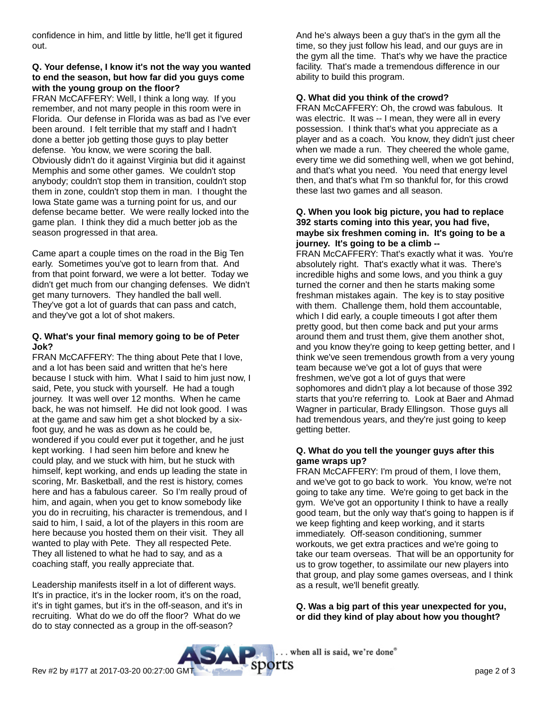confidence in him, and little by little, he'll get it figured out.

# **Q. Your defense, I know it's not the way you wanted to end the season, but how far did you guys come with the young group on the floor?**

FRAN McCAFFERY: Well, I think a long way. If you remember, and not many people in this room were in Florida. Our defense in Florida was as bad as I've ever been around. I felt terrible that my staff and I hadn't done a better job getting those guys to play better defense. You know, we were scoring the ball. Obviously didn't do it against Virginia but did it against Memphis and some other games. We couldn't stop anybody; couldn't stop them in transition, couldn't stop them in zone, couldn't stop them in man. I thought the Iowa State game was a turning point for us, and our defense became better. We were really locked into the game plan. I think they did a much better job as the season progressed in that area.

Came apart a couple times on the road in the Big Ten early. Sometimes you've got to learn from that. And from that point forward, we were a lot better. Today we didn't get much from our changing defenses. We didn't get many turnovers. They handled the ball well. They've got a lot of guards that can pass and catch, and they've got a lot of shot makers.

# **Q. What's your final memory going to be of Peter Jok?**

FRAN McCAFFERY: The thing about Pete that I love, and a lot has been said and written that he's here because I stuck with him. What I said to him just now, I said, Pete, you stuck with yourself. He had a tough journey. It was well over 12 months. When he came back, he was not himself. He did not look good. I was at the game and saw him get a shot blocked by a sixfoot guy, and he was as down as he could be, wondered if you could ever put it together, and he just kept working. I had seen him before and knew he could play, and we stuck with him, but he stuck with himself, kept working, and ends up leading the state in scoring, Mr. Basketball, and the rest is history, comes here and has a fabulous career. So I'm really proud of him, and again, when you get to know somebody like you do in recruiting, his character is tremendous, and I said to him, I said, a lot of the players in this room are here because you hosted them on their visit. They all wanted to play with Pete. They all respected Pete. They all listened to what he had to say, and as a coaching staff, you really appreciate that.

Leadership manifests itself in a lot of different ways. It's in practice, it's in the locker room, it's on the road, it's in tight games, but it's in the off-season, and it's in recruiting. What do we do off the floor? What do we do to stay connected as a group in the off-season?

And he's always been a guy that's in the gym all the time, so they just follow his lead, and our guys are in the gym all the time. That's why we have the practice facility. That's made a tremendous difference in our ability to build this program.

# **Q. What did you think of the crowd?**

FRAN McCAFFERY: Oh, the crowd was fabulous. It was electric. It was -- I mean, they were all in every possession. I think that's what you appreciate as a player and as a coach. You know, they didn't just cheer when we made a run. They cheered the whole game, every time we did something well, when we got behind, and that's what you need. You need that energy level then, and that's what I'm so thankful for, for this crowd these last two games and all season.

#### **Q. When you look big picture, you had to replace 392 starts coming into this year, you had five, maybe six freshmen coming in. It's going to be a journey. It's going to be a climb --**

FRAN McCAFFERY: That's exactly what it was. You're absolutely right. That's exactly what it was. There's incredible highs and some lows, and you think a guy turned the corner and then he starts making some freshman mistakes again. The key is to stay positive with them. Challenge them, hold them accountable, which I did early, a couple timeouts I got after them pretty good, but then come back and put your arms around them and trust them, give them another shot, and you know they're going to keep getting better, and I think we've seen tremendous growth from a very young team because we've got a lot of guys that were freshmen, we've got a lot of guys that were sophomores and didn't play a lot because of those 392 starts that you're referring to. Look at Baer and Ahmad Wagner in particular, Brady Ellingson. Those guys all had tremendous years, and they're just going to keep getting better.

## **Q. What do you tell the younger guys after this game wraps up?**

FRAN McCAFFERY: I'm proud of them, I love them, and we've got to go back to work. You know, we're not going to take any time. We're going to get back in the gym. We've got an opportunity I think to have a really good team, but the only way that's going to happen is if we keep fighting and keep working, and it starts immediately. Off-season conditioning, summer workouts, we get extra practices and we're going to take our team overseas. That will be an opportunity for us to grow together, to assimilate our new players into that group, and play some games overseas, and I think as a result, we'll benefit greatly.

**Q. Was a big part of this year unexpected for you, or did they kind of play about how you thought?**